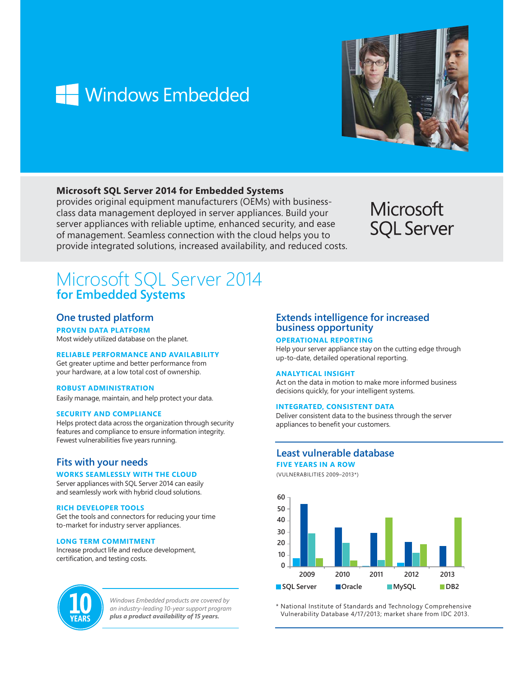# **Windows Embedded**



# **Microsoft SQL Server 2014 for Embedded Systems**

provides original equipment manufacturers (OEMs) with businessclass data management deployed in server appliances. Build your server appliances with reliable uptime, enhanced security, and ease of management. Seamless connection with the cloud helps you to provide integrated solutions, increased availability, and reduced costs.

# Microsoft **SQL Server**

# Microsoft SQL Server 2014 **for Embedded Systems**

# **One trusted platform**

**PROVEN DATA PLATFORM**

Most widely utilized database on the planet.

# **RELIABLE PERFORMANCE AND AVAILABILITY**

Get greater uptime and better performance from your hardware, at a low total cost of ownership.

# **ROBUST ADMINISTRATION**

Easily manage, maintain, and help protect your data.

# **SECURITY AND COMPLIANCE**

Helps protect data across the organization through security features and compliance to ensure information integrity. Fewest vulnerabilities five years running.

# **Fits with your needs**

# **WORKS SEAMLESSLY WITH THE CLOUD**

Server appliances with SQL Server 2014 can easily and seamlessly work with hybrid cloud solutions.

#### **RICH DEVELOPER TOOLS**

Get the tools and connectors for reducing your time to-market for industry server appliances.

# **LONG TERM COMMITMENT**

Increase product life and reduce development, certification, and testing costs.



*Windows Embedded products are covered by an industry-leading 10-year support program plus a product availability of 15 years.*

# **Extends intelligence for increased business opportunity**

# **OPERATIONAL REPORTING**

Help your server appliance stay on the cutting edge through up-to-date, detailed operational reporting.

# **ANALYTICAL INSIGHT**

Act on the data in motion to make more informed business decisions quickly, for your intelligent systems.

# **INTEGRATED, CONSISTENT DATA**

Deliver consistent data to the business through the server appliances to benefit your customers.

# **Least vulnerable database**

**FIVE YEARS IN A ROW**

(VULNERABILITIES 2009–2013\*)



\* National Institute of Standards and Technology Comprehensive Vulnerability Database 4/17/2013; market share from IDC 2013.